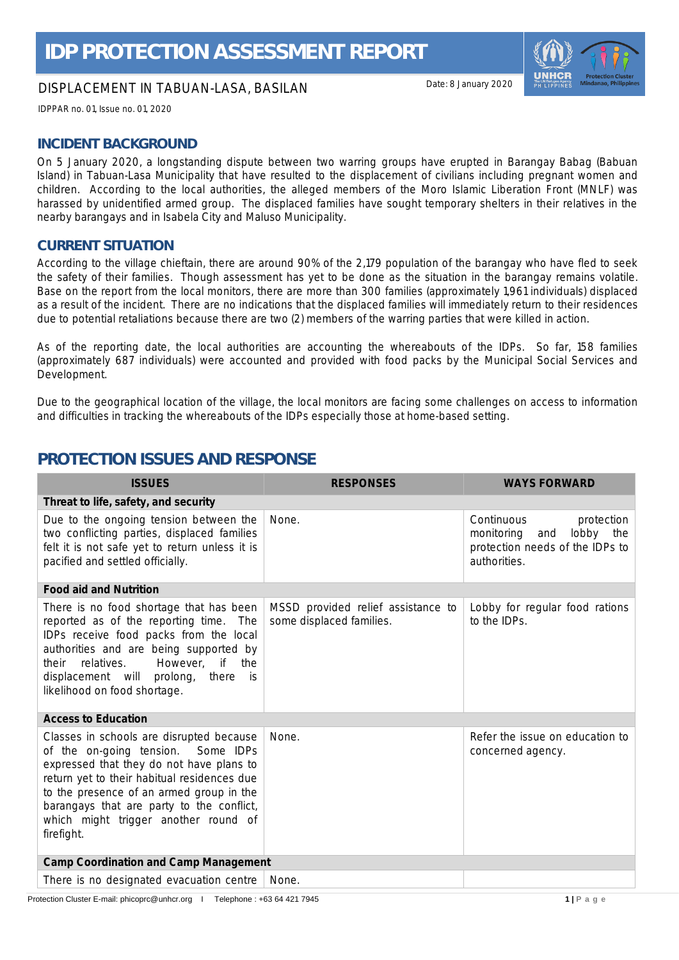## DISPLACEMENT IN TABUAN-LASA, BASILAN

Date: 8 January 2020

IDPPAR no. 01, Issue no. 01, 2020

## **INCIDENT BACKGROUND**

On 5 January 2020, a longstanding dispute between two warring groups have erupted in Barangay Babag (Babuan Island) in Tabuan-Lasa Municipality that have resulted to the displacement of civilians including pregnant women and children. According to the local authorities, the alleged members of the Moro Islamic Liberation Front (MNLF) was harassed by unidentified armed group. The displaced families have sought temporary shelters in their relatives in the nearby barangays and in Isabela City and Maluso Municipality.

#### **CURRENT SITUATION**

According to the village chieftain, there are around 90% of the 2,179 population of the barangay who have fled to seek the safety of their families. Though assessment has yet to be done as the situation in the barangay remains volatile. Base on the report from the local monitors, there are more than 300 families (approximately 1,961 individuals) displaced as a result of the incident. There are no indications that the displaced families will immediately return to their residences due to potential retaliations because there are two (2) members of the warring parties that were killed in action.

As of the reporting date, the local authorities are accounting the whereabouts of the IDPs. So far, 158 families (approximately 687 individuals) were accounted and provided with food packs by the Municipal Social Services and Development.

Due to the geographical location of the village, the local monitors are facing some challenges on access to information and difficulties in tracking the whereabouts of the IDPs especially those at home-based setting.

# **PROTECTION ISSUES AND RESPONSE**

| <b>ISSUES</b>                                                                                                                                                                                                                                                                                                            | <b>RESPONSES</b>                                               | <b>WAYS FORWARD</b>                                                                                           |  |  |  |  |  |  |
|--------------------------------------------------------------------------------------------------------------------------------------------------------------------------------------------------------------------------------------------------------------------------------------------------------------------------|----------------------------------------------------------------|---------------------------------------------------------------------------------------------------------------|--|--|--|--|--|--|
| Threat to life, safety, and security                                                                                                                                                                                                                                                                                     |                                                                |                                                                                                               |  |  |  |  |  |  |
| Due to the ongoing tension between the<br>two conflicting parties, displaced families<br>felt it is not safe yet to return unless it is<br>pacified and settled officially.                                                                                                                                              | None.                                                          | Continuous<br>protection<br>lobby the<br>monitoring<br>and<br>protection needs of the IDPs to<br>authorities. |  |  |  |  |  |  |
| Food aid and Nutrition                                                                                                                                                                                                                                                                                                   |                                                                |                                                                                                               |  |  |  |  |  |  |
| There is no food shortage that has been<br>reported as of the reporting time. The<br>IDPs receive food packs from the local<br>authorities and are being supported by<br>if the<br>relatives.<br>However,<br>their<br>displacement will prolong, there<br><i>is</i><br>likelihood on food shortage.                      | MSSD provided relief assistance to<br>some displaced families. | Lobby for regular food rations<br>to the IDPs.                                                                |  |  |  |  |  |  |
| <b>Access to Education</b>                                                                                                                                                                                                                                                                                               |                                                                |                                                                                                               |  |  |  |  |  |  |
| Classes in schools are disrupted because<br>of the on-going tension. Some IDPs<br>expressed that they do not have plans to<br>return yet to their habitual residences due<br>to the presence of an armed group in the<br>barangays that are party to the conflict,<br>which might trigger another round of<br>firefight. | None.                                                          | Refer the issue on education to<br>concerned agency.                                                          |  |  |  |  |  |  |
| Camp Coordination and Camp Management                                                                                                                                                                                                                                                                                    |                                                                |                                                                                                               |  |  |  |  |  |  |
| There is no designated evacuation centre                                                                                                                                                                                                                                                                                 | None.                                                          |                                                                                                               |  |  |  |  |  |  |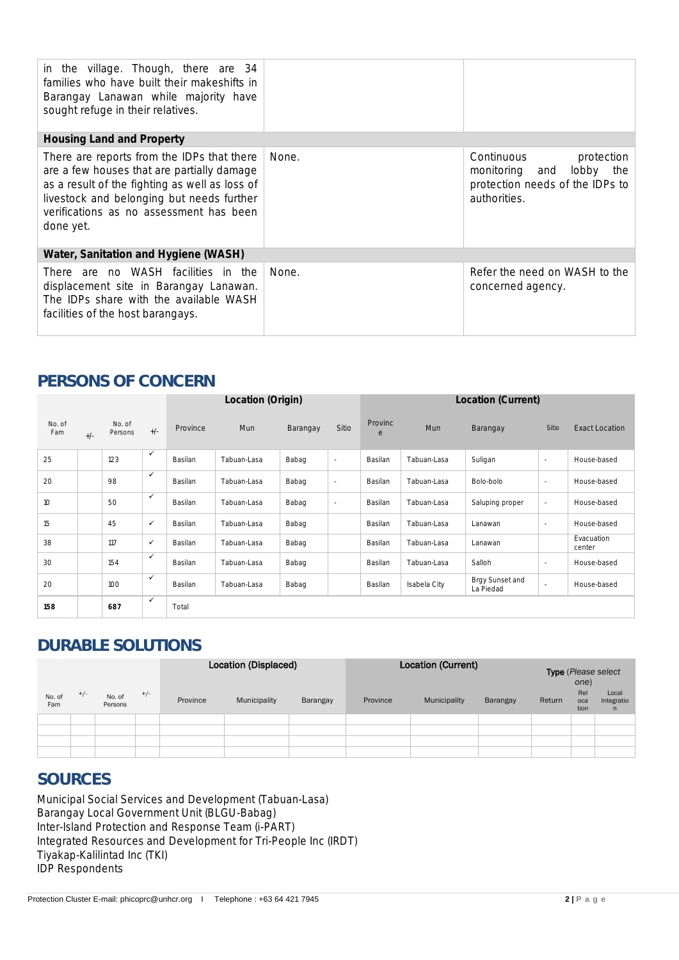| in the village. Though, there are 34<br>families who have built their makeshifts in<br>Barangay Lanawan while majority have<br>sought refuge in their relatives.                                                                                |       |                                                                                                         |  |  |  |  |
|-------------------------------------------------------------------------------------------------------------------------------------------------------------------------------------------------------------------------------------------------|-------|---------------------------------------------------------------------------------------------------------|--|--|--|--|
| Housing Land and Property                                                                                                                                                                                                                       |       |                                                                                                         |  |  |  |  |
| There are reports from the IDPs that there<br>are a few houses that are partially damage<br>as a result of the fighting as well as loss of<br>livestock and belonging but needs further<br>verifications as no assessment has been<br>done yet. | None. | Continuous<br>protection<br>monitoring and lobby the<br>protection needs of the IDPs to<br>authorities. |  |  |  |  |
| Water, Sanitation and Hygiene (WASH)                                                                                                                                                                                                            |       |                                                                                                         |  |  |  |  |
| There are no WASH facilities in the<br>displacement site in Barangay Lanawan.<br>The IDPs share with the available WASH<br>facilities of the host barangays.                                                                                    | None. | Refer the need on WASH to the<br>concerned agency.                                                      |  |  |  |  |

# **PERSONS OF CONCERN**

|               |       |                   |              | Location (Origin) |             |          |        | Location (Current) |              |                              |        |                       |
|---------------|-------|-------------------|--------------|-------------------|-------------|----------|--------|--------------------|--------------|------------------------------|--------|-----------------------|
| No. of<br>Fam | $+/-$ | No. of<br>Persons | $+/-$        | Province          | Mun         | Barangay | Sitio  | Provinc<br>e       | <b>Mun</b>   | Barangay                     | Sitio  | <b>Exact Location</b> |
| 25            |       | 123               | $\checkmark$ | Basilan           | Tabuan-Lasa | Babag    | $\sim$ | Basilan            | Tabuan-Lasa  | Suligan                      | $\sim$ | House-based           |
| 20            |       | 98                | $\checkmark$ | Basilan           | Tabuan-Lasa | Babag    | $\sim$ | Basilan            | Tabuan-Lasa  | Bolo-bolo                    | $\sim$ | House-based           |
| 10            |       | 50                | $\checkmark$ | Basilan           | Tabuan-Lasa | Babag    | $\sim$ | Basilan            | Tabuan-Lasa  | Saluping proper              | $\sim$ | House-based           |
| 15            |       | 45                | $\checkmark$ | Basilan           | Tabuan-Lasa | Babag    |        | Basilan            | Tabuan-Lasa  | Lanawan                      | $\sim$ | House-based           |
| 38            |       | 117               | ✓            | Basilan           | Tabuan-Lasa | Babag    |        | Basilan            | Tabuan-Lasa  | Lanawan                      |        | Evacuation<br>center  |
| 30            |       | 154               | $\checkmark$ | Basilan           | Tabuan-Lasa | Babag    |        | Basilan            | Tabuan-Lasa  | Salloh                       | $\sim$ | House-based           |
| 20            |       | 100               | $\checkmark$ | Basilan           | Tabuan-Lasa | Babag    |        | Basilan            | Isabela City | Brgy Sunset and<br>La Piedad | $\sim$ | House-based           |
| 158           |       | 687               | $\checkmark$ | Total             |             |          |        |                    |              |                              |        |                       |

# **DURABLE SOLUTIONS**

|               |       | Location (Displaced) |       |          |              | Location (Current) | <b>Type</b> (Please select<br>one) |              |          |        |                    |                                     |
|---------------|-------|----------------------|-------|----------|--------------|--------------------|------------------------------------|--------------|----------|--------|--------------------|-------------------------------------|
| No. of<br>Fam | $+/-$ | No. of<br>Persons    | $+/-$ | Province | Municipality | Barangay           | Province                           | Municipality | Barangay | Return | Rel<br>oca<br>tion | Local<br>Integratio<br>$\mathsf{n}$ |
|               |       |                      |       |          |              |                    |                                    |              |          |        |                    |                                     |
|               |       |                      |       |          |              |                    |                                    |              |          |        |                    |                                     |
|               |       |                      |       |          |              |                    |                                    |              |          |        |                    |                                     |
|               |       |                      |       |          |              |                    |                                    |              |          |        |                    |                                     |

# **SOURCES**

Municipal Social Services and Development (Tabuan-Lasa) Barangay Local Government Unit (BLGU-Babag) Inter-Island Protection and Response Team (i-PART) Integrated Resources and Development for Tri-People Inc (IRDT) Tiyakap-Kalilintad Inc (TKI) IDP Respondents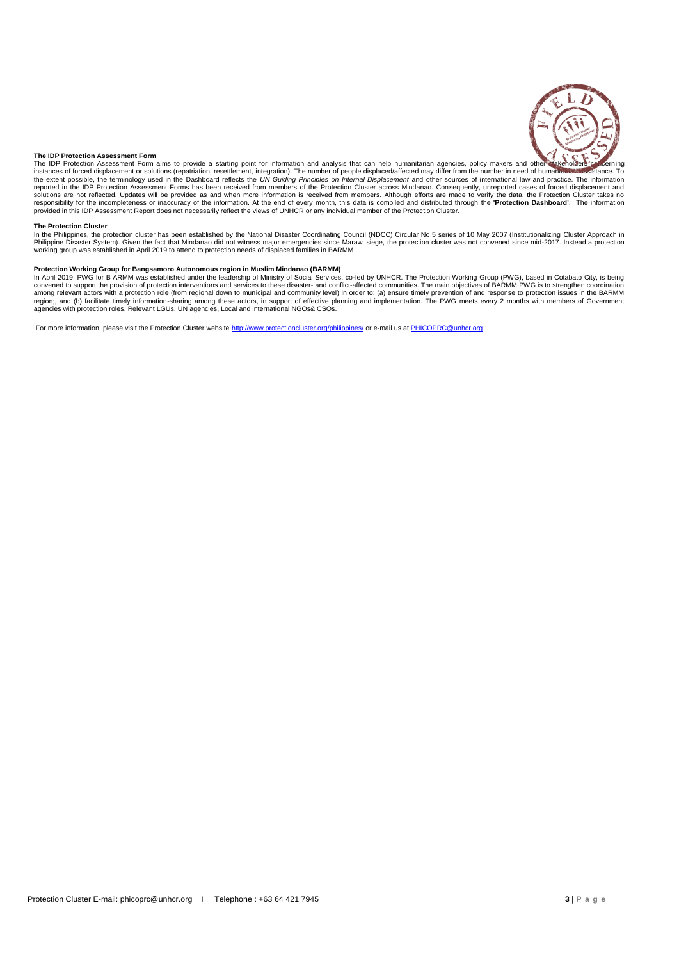

#### **The IDP Protection Assessment Form**

The IDP Protection Assessment Form aims to provide a starting point for information and analysis that can help humanitarian agencies, policy makers and other sakeholders on neerning<br>instances of forced displacement or solu the extent possible, the terminology used in the Dashboard reflects the *UN Guiding Principles on Internal Displacement* and other sources of international law and practice. The information<br>reported in the IDP Protection A provided in this IDP Assessment Report does not necessarily reflect the views of UNHCR or any individual member of the Protection Cluster.

The Protection Cluster<br>In the Philippines, the protection cluster has been established by the National Disaster Coordinating Council (NDCC) Circular No 5 series of 10 May 2007 (Institutionalizing Cluster Approach in<br>Philip

#### **Protection Working Group for Bangsamoro Autonomous region in Muslim Mindanao (BARMM)**

In April 2019, PWG for B ARMM was established under the leadership of Ministry of Social Services, co-led by UNHCR. The Protection Working Group (PWG), based in Cotabato City, is being<br>convened to support the provision of among relevant actors with a protection role (from regional down to municipal and community level) in order to: (a) ensure timely prevention of and response to protection issues in the BARMM<br>region;, and (b) facilitate tim

For more information, please visit the Protection Cluster websit[e http://www.protectioncluster.org/philippines/](https://eur02.safelinks.protection.outlook.com/?url=http%3A%2F%2Fwww.protectioncluster.org%2Fphilippines%2F&data=02%7C01%7Cwahab%40unhcr.org%7Cd388f980065a4e6afd3f08d6ea418f63%7Ce5c37981666441348a0c6543d2af80be%7C0%7C0%7C636953964634314259&sdata=3YMWub0wi26SNDN9G9bLE5i7uUx%2Fy4dWUYz4Ctsmb6M%3D&reserved=0) or e-mail us a[t PHICOPRC@unhcr.org](mailto:PHICOPRC@unhcr.org)